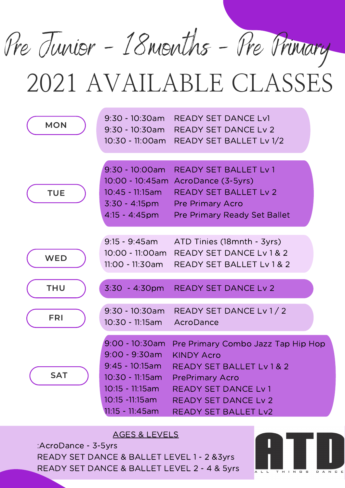Pre Junior - 18months - Pre Primary

| <b>MON</b> | $9:30 - 10:30$ am                                                                                                                                | <b>READY SET DANCE Lv1</b><br>9:30 - 10:30am READY SET DANCE Lv 2<br>10:30 - 11:00am READY SET BALLET Lv 1/2                                                                                                   |
|------------|--------------------------------------------------------------------------------------------------------------------------------------------------|----------------------------------------------------------------------------------------------------------------------------------------------------------------------------------------------------------------|
| <b>TUE</b> | 9:30 - 10:00am<br>10:45 - 11:15am                                                                                                                | <b>READY SET BALLET Ly 1</b><br>10:00 - 10:45am AcroDance (3-5yrs)<br><b>READY SET BALLET Lv 2</b><br>3:30 - 4:15pm Pre Primary Acro<br>4:15 - 4:45pm Pre Primary Ready Set Ballet                             |
| <b>WED</b> | $9:15 - 9:45$ am<br>11:00 - 11:30am                                                                                                              | ATD Tinies (18mnth - 3yrs)<br>10:00 - 11:00am READY SET DANCE Lv 1 & 2<br><b>READY SET BALLET Lv 1 &amp; 2</b>                                                                                                 |
| <b>THU</b> |                                                                                                                                                  | 3:30 - 4:30pm READY SET DANCE Lv 2                                                                                                                                                                             |
| <b>FRI</b> | $9:30 - 10:30$ am<br>10:30 - 11:15am                                                                                                             | READY SET DANCE Lv 1 / 2<br>AcroDance                                                                                                                                                                          |
| <b>SAT</b> | $9:00 - 10:30$ am<br>$9:00 - 9:30$ am<br>$9:45 - 10:15$ am<br>$10:30 - 11:15am$<br>$10:15 - 11:15am$<br>$10:15 - 11:15$ am<br>$11:15 - 11:45$ am | Pre Primary Combo Jazz Tap Hip Hop<br><b>KINDY Acro</b><br><b>READY SET BALLET Lv 1 &amp; 2</b><br><b>PrePrimary Acro</b><br><b>READY SET DANCE Lv1</b><br><b>READY SET DANCE Lv 2</b><br>READY SET BALLET Lv2 |

AGES & LEVELS

:AcroDance - 3-5yrs READY SET DANCE & BALLET LEVEL 1 - 2 &3yrs READY SET DANCE & BALLET LEVEL 2 - 4 & 5yrs

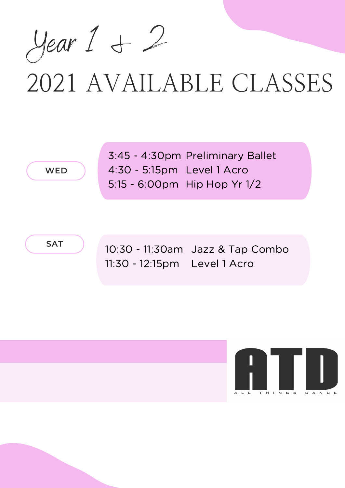Year 1 & 2

**WED**

3:45 - 4:30pm Preliminary Ballet Level 1 Acro 4:30 - 5:15pm 5:15 - 6:00pm Hip Hop Yr 1/2

**SAT**

10:30 - 11:30am Jazz & Tap Combo 11:30 - 12:15pm Level 1 Acro

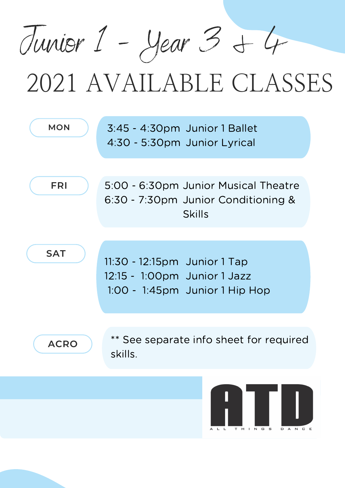Junior 1 - Year 3 + 4

| <b>MON</b>  | 3:45 - 4:30pm Junior 1 Ballet<br>4:30 - 5:30pm Junior Lyrical                                  |  |
|-------------|------------------------------------------------------------------------------------------------|--|
| <b>FRI</b>  | 5:00 - 6:30pm Junior Musical Theatre<br>6:30 - 7:30pm Junior Conditioning &<br><b>Skills</b>   |  |
| <b>SAT</b>  | 11:30 - 12:15pm Junior 1 Tap<br>12:15 - 1:00pm Junior 1 Jazz<br>1:00 - 1:45pm Junior 1 Hip Hop |  |
| <b>ACRO</b> | ** See separate info sheet for required<br>skills.                                             |  |
|             | <b>ANTI I</b>                                                                                  |  |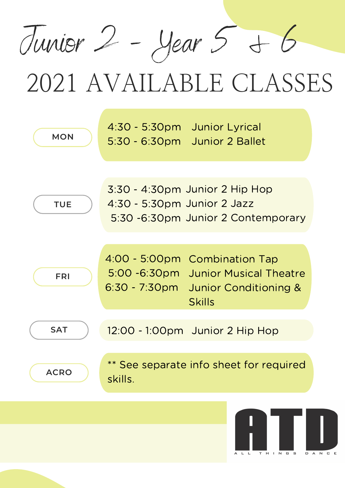Junior 2 - Year 5 & 6



LL THINGS DANCE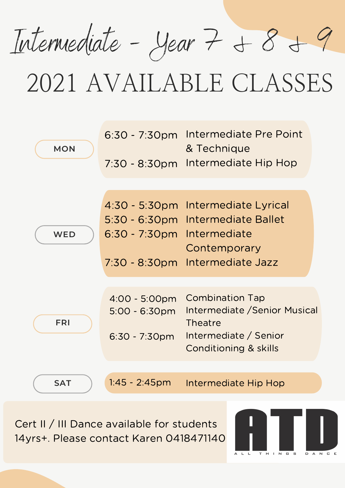Intermediate - Year 7 & 8 & 9

| <b>MON</b> | $6:30 - 7:30$ pm<br>$7:30 - 8:30 \text{pm}$              | Intermediate Pre Point<br>& Technique<br>Intermediate Hip Hop                                                  |
|------------|----------------------------------------------------------|----------------------------------------------------------------------------------------------------------------|
|            |                                                          |                                                                                                                |
| <b>WED</b> | $5:30 - 6:30$ pm<br>$6:30 - 7:30$ pm<br>$7:30 - 8:30$ pm | 4:30 - 5:30pm Intermediate Lyrical<br>Intermediate Ballet<br>Intermediate<br>Contemporary<br>Intermediate Jazz |
|            |                                                          |                                                                                                                |
| <b>FRI</b> | 4:00 - 5:00pm<br>$5:00 - 6:30$ pm<br>$6:30 - 7:30$ pm    | <b>Combination Tap</b><br>Intermediate / Senior Musical<br>Theatre<br>Intermediate / Senior                    |
|            |                                                          | <b>Conditioning &amp; skills</b>                                                                               |
|            |                                                          |                                                                                                                |
| <b>SAT</b> | $1:45 - 2:45$ pm                                         | Intermediate Hip Hop                                                                                           |

Cert II / III Dance available for students 14yrs+. Please contact Karen 0418471140

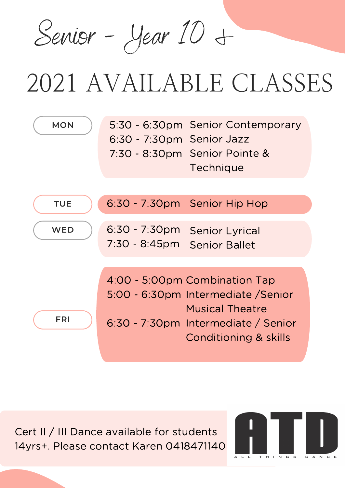Senior - Year 10 &

| <b>MON</b> | 5:30 - 6:30pm Senior Contemporary<br>6:30 - 7:30pm Senior Jazz<br>7:30 - 8:30pm Senior Pointe &<br>Technique                                                              |
|------------|---------------------------------------------------------------------------------------------------------------------------------------------------------------------------|
| <b>TUE</b> | 6:30 - 7:30pm Senior Hip Hop                                                                                                                                              |
| <b>WED</b> | $6:30 - 7:30$ pm<br><b>Senior Lyrical</b><br>$7:30 - 8:45pm$<br><b>Senior Ballet</b>                                                                                      |
| <b>FRI</b> | 4:00 - 5:00pm Combination Tap<br>5:00 - 6:30pm Intermediate / Senior<br><b>Musical Theatre</b><br>6:30 - 7:30pm Intermediate / Senior<br><b>Conditioning &amp; skills</b> |

Cert II / III Dance available for students 14yrs+. Please contact Karen 0418471140

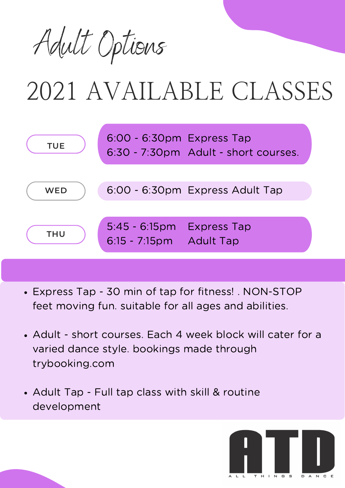



- Express Tap 30 min of tap for fitness! . NON-STOP feet moving fun. suitable for all ages and abilities.
- Adult short courses. Each 4 week block will cater for a varied dance style. bookings made through trybooking.com
- Adult Tap Full tap class with skill & routine development

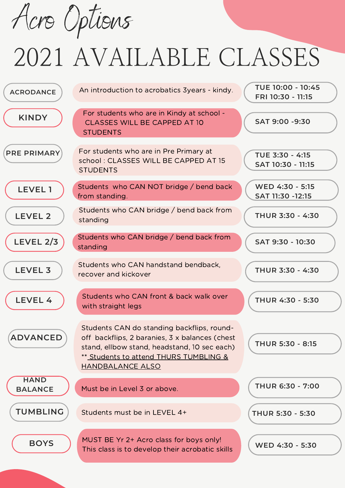Acro Options

| <b>ACRODANCE</b>              | An introduction to acrobatics 3years - kindy.                                                                                                                                                                     | TUE 10:00 - 10:45<br>FRI 10:30 - 11:15 |
|-------------------------------|-------------------------------------------------------------------------------------------------------------------------------------------------------------------------------------------------------------------|----------------------------------------|
| <b>KINDY</b>                  | For students who are in Kindy at school -<br><b>CLASSES WILL BE CAPPED AT 10</b><br><b>STUDENTS</b>                                                                                                               | SAT 9:00 -9:30                         |
| <b>PRE PRIMARY</b>            | For students who are in Pre Primary at<br>school: CLASSES WILL BE CAPPED AT 15<br><b>STUDENTS</b>                                                                                                                 | TUE 3:30 - 4:15<br>SAT 10:30 - 11:15   |
| <b>LEVEL1</b>                 | Students who CAN NOT bridge / bend back<br>from standing.                                                                                                                                                         | WED 4:30 - 5:15<br>SAT 11:30 -12:15    |
| <b>LEVEL 2</b>                | Students who CAN bridge / bend back from<br>standing                                                                                                                                                              | THUR 3:30 - 4:30                       |
| <b>LEVEL 2/3</b>              | Students who CAN bridge / bend back from<br>standing                                                                                                                                                              | SAT 9:30 - 10:30                       |
| <b>LEVEL 3</b>                | Students who CAN handstand bendback,<br>recover and kickover                                                                                                                                                      | THUR 3:30 - 4:30                       |
| LEVEL 4                       | Students who CAN front & back walk over<br>with straight legs                                                                                                                                                     | THUR 4:30 - 5:30                       |
| <b>ADVANCED</b>               | Students CAN do standing backflips, round-<br>off backflips, 2 baranies, 3 x balances (chest<br>stand, ellbow stand, headstand, 10 sec each)<br>** Students to attend THURS TUMBLING &<br><b>HANDBALANCE ALSO</b> | <b>THUR 5:30 - 8:15</b>                |
| <b>HAND</b><br><b>BALANCE</b> | Must be in Level 3 or above.                                                                                                                                                                                      | <b>THUR 6:30 - 7:00</b>                |
| <b>TUMBLING</b>               | Students must be in LEVEL 4+                                                                                                                                                                                      | THUR 5:30 - 5:30                       |
| <b>BOYS</b>                   | MUST BE Yr 2+ Acro class for boys only!<br>This class is to develop their acrobatic skills                                                                                                                        | WED 4:30 - 5:30                        |